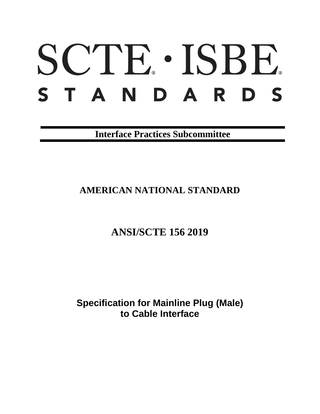# SCTE · ISBE. S T A N D A R D S

**Interface Practices Subcommittee**

# **AMERICAN NATIONAL STANDARD**

# **ANSI/SCTE 156 2019**

**Specification for Mainline Plug (Male) to Cable Interface**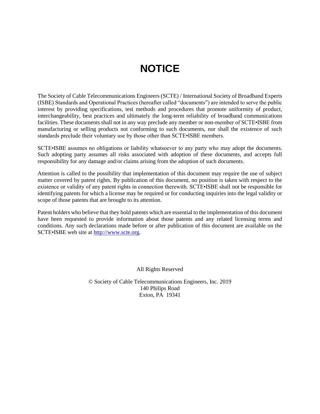# **NOTICE**

<span id="page-1-0"></span>The Society of Cable Telecommunications Engineers (SCTE) / International Society of Broadband Experts (ISBE) Standards and Operational Practices (hereafter called "documents") are intended to serve the public interest by providing specifications, test methods and procedures that promote uniformity of product, interchangeability, best practices and ultimately the long-term reliability of broadband communications facilities. These documents shall not in any way preclude any member or non-member of SCTE•ISBE from manufacturing or selling products not conforming to such documents, nor shall the existence of such standards preclude their voluntary use by those other than SCTE•ISBE members.

SCTE•ISBE assumes no obligations or liability whatsoever to any party who may adopt the documents. Such adopting party assumes all risks associated with adoption of these documents, and accepts full responsibility for any damage and/or claims arising from the adoption of such documents.

Attention is called to the possibility that implementation of this document may require the use of subject matter covered by patent rights. By publication of this document, no position is taken with respect to the existence or validity of any patent rights in connection therewith. SCTE•ISBE shall not be responsible for identifying patents for which a license may be required or for conducting inquiries into the legal validity or scope of those patents that are brought to its attention.

Patent holders who believe that they hold patents which are essential to the implementation of this document have been requested to provide information about those patents and any related licensing terms and conditions. Any such declarations made before or after publication of this document are available on the SCTE•ISBE web site at [http://www.scte.org.](http://www.scte.org/)

All Rights Reserved

© Society of Cable Telecommunications Engineers, Inc. 2019 140 Philips Road Exton, PA 19341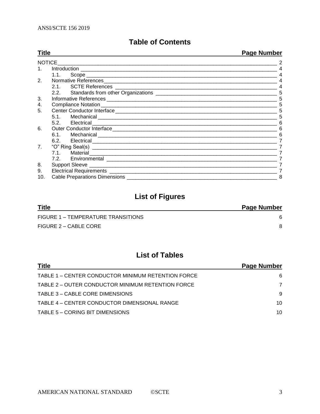# **Table of Contents**

| <b>Title</b>   |                                                                                                                                                                                                                                | <b>Page Number</b> |
|----------------|--------------------------------------------------------------------------------------------------------------------------------------------------------------------------------------------------------------------------------|--------------------|
|                | <b>NOTICE</b>                                                                                                                                                                                                                  |                    |
|                |                                                                                                                                                                                                                                |                    |
|                | 1.1.                                                                                                                                                                                                                           |                    |
| 2.             |                                                                                                                                                                                                                                |                    |
|                |                                                                                                                                                                                                                                |                    |
|                |                                                                                                                                                                                                                                | 5                  |
| 3.             |                                                                                                                                                                                                                                | 5                  |
| 4.             |                                                                                                                                                                                                                                |                    |
| 5.             | Center Conductor Interface [19] [19] Dental Management Conductor Interface [19] Dental Management Conductor Interface [19] Dental Management Conductor Interface [19] Dental Management Conductor Interface [19] Dental Manage |                    |
|                |                                                                                                                                                                                                                                |                    |
|                | 5.2. Electrical expression and the contract of the contract of the contract of the contract of the contract of                                                                                                                 |                    |
| 6.             |                                                                                                                                                                                                                                |                    |
|                |                                                                                                                                                                                                                                |                    |
|                | 6.2. Electrical experiments and the set of the set of the set of the set of the set of the set of the set of the set of the set of the set of the set of the set of the set of the set of the set of the set of the set of the |                    |
| 7 <sub>1</sub> |                                                                                                                                                                                                                                |                    |
|                | 7.1. Material 2008 and 2009 and 2009 and 2009 and 2009 and 2009 and 2009 and 2009 and 2009 and 2009 and 2009 a                                                                                                                 |                    |
|                |                                                                                                                                                                                                                                |                    |
| 8.             |                                                                                                                                                                                                                                |                    |
| 9.             |                                                                                                                                                                                                                                |                    |
| 10.            | Cable Preparations Dimensions ____                                                                                                                                                                                             | 8                  |

# **List of Figures**

| <b>Title</b>                       | <b>Page Number</b> |
|------------------------------------|--------------------|
| FIGURE 1 – TEMPERATURE TRANSITIONS |                    |
| FIGURE 2 – CABLE CORE              |                    |

# **List of Tables**

| <b>Title</b>                                       | Page Number |
|----------------------------------------------------|-------------|
| TABLE 1 - CENTER CONDUCTOR MINIMUM RETENTION FORCE | 6           |
| TABLE 2 - OUTER CONDUCTOR MINIMUM RETENTION FORCE  | 7           |
| TABLE 3 - CABLE CORE DIMENSIONS                    | 9           |
| TABLE 4 – CENTER CONDUCTOR DIMENSIONAL RANGE       | 10          |
| TABLE 5 - CORING BIT DIMENSIONS                    | 10          |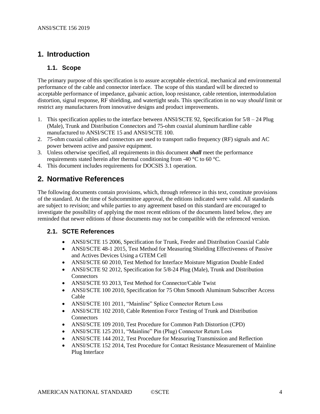## <span id="page-3-0"></span>**1. Introduction**

#### <span id="page-3-1"></span>**1.1. Scope**

The primary purpose of this specification is to assure acceptable electrical, mechanical and environmental performance of the cable and connector interface. The scope of this standard will be directed to acceptable performance of impedance, galvanic action, loop resistance, cable retention, intermodulation distortion, signal response, RF shielding, and watertight seals. This specification in no way *should* limit or restrict any manufacturers from innovative designs and product improvements.

- 1. This specification applies to the interface between ANSI/SCTE 92, Specification for 5/8 24 Plug (Male), Trunk and Distribution Connectors and 75-ohm coaxial aluminum hardline cable manufactured to ANSI/SCTE 15 and ANSI/SCTE 100.
- 2. 75-ohm coaxial cables and connectors are used to transport radio frequency (RF) signals and AC power between active and passive equipment.
- 3. Unless otherwise specified, all requirements in this document *shall* meet the performance requirements stated herein after thermal conditioning from -40 °C to 60 °C.
- 4. This document includes requirements for DOCSIS 3.1 operation.

# <span id="page-3-2"></span>**2. Normative References**

The following documents contain provisions, which, through reference in this text, constitute provisions of the standard. At the time of Subcommittee approval, the editions indicated were valid. All standards are subject to revision; and while parties to any agreement based on this standard are encouraged to investigate the possibility of applying the most recent editions of the documents listed below, they are reminded that newer editions of those documents may not be compatible with the referenced version.

#### <span id="page-3-3"></span>**2.1. SCTE References**

- ANSI/SCTE 15 2006, Specification for Trunk, Feeder and Distribution Coaxial Cable
- ANSI/SCTE 48-1 2015, Test Method for Measuring Shielding Effectiveness of Passive and Actives Devices Using a GTEM Cell
- ANSI/SCTE 60 2010, Test Method for Interface Moisture Migration Double Ended
- ANSI/SCTE 92 2012, Specification for 5/8-24 Plug (Male), Trunk and Distribution **Connectors**
- ANSI/SCTE 93 2013, Test Method for Connector/Cable Twist
- ANSI/SCTE 100 2010, Specification for 75 Ohm Smooth Aluminum Subscriber Access Cable
- ANSI/SCTE 101 2011, "Mainline" Splice Connector Return Loss
- ANSI/SCTE 102 2010, Cable Retention Force Testing of Trunk and Distribution **Connectors**
- ANSI/SCTE 109 2010, Test Procedure for Common Path Distortion (CPD)
- ANSI/SCTE 125 2011, "Mainline" Pin (Plug) Connector Return Loss
- ANSI/SCTE 144 2012, Test Procedure for Measuring Transmission and Reflection
- ANSI/SCTE 152 2014, Test Procedure for Contact Resistance Measurement of Mainline Plug Interface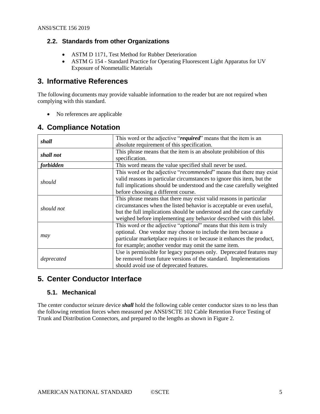#### <span id="page-4-0"></span>**2.2. Standards from other Organizations**

- ASTM D 1171, Test Method for Rubber Deterioration
- ASTM G 154 Standard Practice for Operating Fluorescent Light Apparatus for UV Exposure of Nonmetallic Materials

### <span id="page-4-1"></span>**3. Informative References**

The following documents may provide valuable information to the reader but are not required when complying with this standard.

• No references are applicable

# <span id="page-4-2"></span>**4. Compliance Notation**

| shall                                                                                                                                                                                                                                                                    | This word or the adjective "required" means that the item is an<br>absolute requirement of this specification.                                                                                                                                                                             |
|--------------------------------------------------------------------------------------------------------------------------------------------------------------------------------------------------------------------------------------------------------------------------|--------------------------------------------------------------------------------------------------------------------------------------------------------------------------------------------------------------------------------------------------------------------------------------------|
| shall not                                                                                                                                                                                                                                                                | This phrase means that the item is an absolute prohibition of this<br>specification.                                                                                                                                                                                                       |
| <i>forbidden</i>                                                                                                                                                                                                                                                         | This word means the value specified shall never be used.                                                                                                                                                                                                                                   |
| This word or the adjective "recommended" means that there may exist<br>valid reasons in particular circumstances to ignore this item, but the<br>should<br>full implications should be understood and the case carefully weighted<br>before choosing a different course. |                                                                                                                                                                                                                                                                                            |
| should not                                                                                                                                                                                                                                                               | This phrase means that there may exist valid reasons in particular<br>circumstances when the listed behavior is acceptable or even useful,<br>but the full implications should be understood and the case carefully<br>weighed before implementing any behavior described with this label. |
| may                                                                                                                                                                                                                                                                      | This word or the adjective " <i>optional</i> " means that this item is truly<br>optional. One vendor may choose to include the item because a<br>particular marketplace requires it or because it enhances the product,<br>for example; another vendor may omit the same item.             |
| deprecated                                                                                                                                                                                                                                                               | Use is permissible for legacy purposes only. Deprecated features may<br>be removed from future versions of the standard. Implementations<br>should avoid use of deprecated features.                                                                                                       |

## <span id="page-4-3"></span>**5. Center Conductor Interface**

#### <span id="page-4-4"></span>**5.1. Mechanical**

The center conductor seizure device *shall* hold the following cable center conductor sizes to no less than the following retention forces when measured per ANSI/SCTE 102 Cable Retention Force Testing of Trunk and Distribution Connectors, and prepared to the lengths as shown in [Figure 2.](#page-7-1)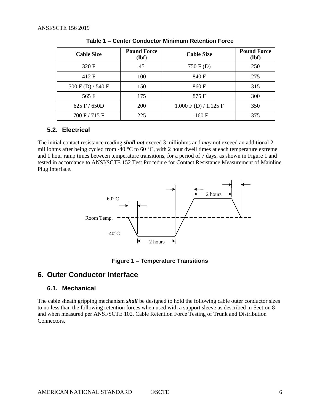<span id="page-5-4"></span>

| <b>Cable Size</b> | <b>Pound Force</b><br>(lbf) | <b>Cable Size</b>    | <b>Pound Force</b><br>(lbf) |
|-------------------|-----------------------------|----------------------|-----------------------------|
| 320 F             | 45                          | 750 F (D)            | 250                         |
| 412 F             | 100                         | 840 F                | 275                         |
| 500 F(D) / 540 F  | 150                         | 860 F                | 315                         |
| 565 F             | 175                         | 875 F                | 300                         |
| $625$ F / $650D$  | <b>200</b>                  | 1.000 F(D) / 1.125 F | 350                         |
| 700 F / 715 F     | 225                         | 1.160 F              | 375                         |

**Table 1 – Center Conductor Minimum Retention Force**

#### <span id="page-5-0"></span>**5.2. Electrical**

The initial contact resistance reading *shall not* exceed 3 milliohms and *may* not exceed an additional 2 milliohms after being cycled from -40 °C to 60 °C, with 2 hour dwell times at each temperature extreme and 1 hour ramp times between temperature transitions, for a period of 7 days, as shown in [Figure 1](#page-5-3) and tested in accordance to ANSI/SCTE 152 Test Procedure for Contact Resistance Measurement of Mainline Plug Interface.



**Figure 1 – Temperature Transitions**

#### <span id="page-5-3"></span><span id="page-5-2"></span><span id="page-5-1"></span>**6. Outer Conductor Interface**

#### **6.1. Mechanical**

The cable sheath gripping mechanism *shall* be designed to hold the following cable outer conductor sizes to no less than the following retention forces when used with a support sleeve as described in Section [8](#page-6-4) and when measured per ANSI/SCTE 102, Cable Retention Force Testing of Trunk and Distribution Connectors.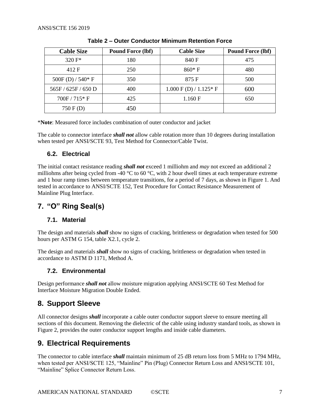<span id="page-6-6"></span>

| <b>Cable Size</b>  | <b>Pound Force (lbf)</b> | <b>Cable Size</b>       | <b>Pound Force (lbf)</b> |
|--------------------|--------------------------|-------------------------|--------------------------|
| 320 $F^*$          | 180                      | 840 F                   | 475                      |
| 412 F              | 250                      | $860*F$                 | 480                      |
| $500F(D) / 540*F$  | 350                      | 875 F                   | 500                      |
| 565F / 625F / 650D | 400                      | $1.000 F(D) / 1.125* F$ | 600                      |
| $700F / 715*F$     | 425                      | 1.160 F                 | 650                      |
| 750 F(D)           | 450                      |                         |                          |

| Table 2 – Outer Conductor Minimum Retention Force |  |  |  |
|---------------------------------------------------|--|--|--|
|---------------------------------------------------|--|--|--|

\***Note**: Measured force includes combination of outer conductor and jacket

The cable to connector interface *shall not* allow cable rotation more than 10 degrees during installation when tested per ANSI/SCTE 93, Test Method for Connector/Cable Twist.

#### <span id="page-6-0"></span>**6.2. Electrical**

The initial contact resistance reading *shall not* exceed 1 milliohm and *may* not exceed an additional 2 milliohms after being cycled from -40  $^{\circ}$ C to 60  $^{\circ}$ C, with 2 hour dwell times at each temperature extreme and 1 hour ramp times between temperature transitions, for a period of 7 days, as shown in [Figure 1.](#page-5-3) And tested in accordance to ANSI/SCTE 152, Test Procedure for Contact Resistance Measurement of Mainline Plug Interface.

# <span id="page-6-1"></span>**7. "O" Ring Seal(s)**

#### <span id="page-6-2"></span>**7.1. Material**

The design and materials *shall* show no signs of cracking, brittleness or degradation when tested for 500 hours per ASTM G 154, table X2.1, cycle 2.

The design and materials *shall* show no signs of cracking, brittleness or degradation when tested in accordance to ASTM D 1171, Method A.

#### <span id="page-6-3"></span>**7.2. Environmental**

Design performance *shall not* allow moisture migration applying ANSI/SCTE 60 Test Method for Interface Moisture Migration Double Ended.

## <span id="page-6-4"></span>**8. Support Sleeve**

All connector designs *shall* incorporate a cable outer conductor support sleeve to ensure meeting all sections of this document. Removing the dielectric of the cable using industry standard tools, as shown in [Figure 2,](#page-7-1) provides the outer conductor support lengths and inside cable diameters.

# <span id="page-6-5"></span>**9. Electrical Requirements**

The connector to cable interface *shall* maintain minimum of 25 dB return loss from 5 MHz to 1794 MHz, when tested per ANSI/SCTE 125, "Mainline" Pin (Plug) Connector Return Loss and ANSI/SCTE 101, "Mainline" Splice Connector Return Loss.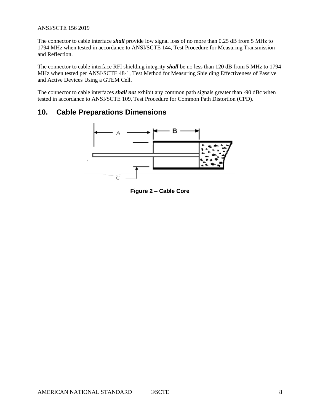#### ANSI/SCTE 156 2019

The connector to cable interface *shall* provide low signal loss of no more than 0.25 dB from 5 MHz to 1794 MHz when tested in accordance to ANSI/SCTE 144, Test Procedure for Measuring Transmission and Reflection.

The connector to cable interface RFI shielding integrity *shall* be no less than 120 dB from 5 MHz to 1794 MHz when tested per ANSI/SCTE 48-1, Test Method for Measuring Shielding Effectiveness of Passive and Active Devices Using a GTEM Cell.

The connector to cable interfaces *shall not* exhibit any common path signals greater than -90 dBc when tested in accordance to ANSI/SCTE 109, Test Procedure for Common Path Distortion (CPD).

#### <span id="page-7-1"></span><span id="page-7-0"></span>**10. Cable Preparations Dimensions**



**Figure 2 – Cable Core**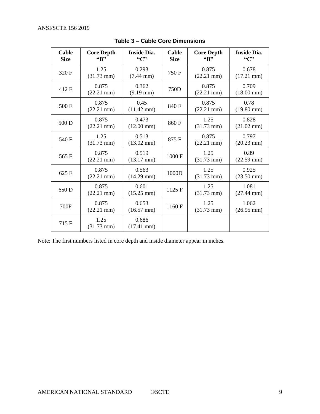<span id="page-8-0"></span>

| Cable<br><b>Size</b> | <b>Core Depth</b><br>$\mathbf{G}$ $\mathbf{B}$ | <b>Inside Dia.</b><br>$\mathcal{C}$ | Cable<br><b>Size</b> | <b>Core Depth</b><br>$\mathbf{G}$ $\mathbf{B}$ | <b>Inside Dia.</b><br>$\mathcal{C}$ |
|----------------------|------------------------------------------------|-------------------------------------|----------------------|------------------------------------------------|-------------------------------------|
| 320 F                | 1.25<br>$(31.73 \text{ mm})$                   | 0.293<br>$(7.44 \text{ mm})$        | 750F                 | 0.875<br>$(22.21 \text{ mm})$                  | 0.678<br>$(17.21 \text{ mm})$       |
| 412 F                | 0.875<br>$(22.21 \text{ mm})$                  | 0.362<br>$(9.19 \text{ mm})$        | 750D                 | 0.875<br>$(22.21 \text{ mm})$                  | 0.709<br>$(18.00 \text{ mm})$       |
| 500 F                | 0.875<br>$(22.21 \text{ mm})$                  | 0.45<br>$(11.42 \text{ mm})$        | 840 F                | 0.875<br>$(22.21 \text{ mm})$                  | 0.78<br>$(19.80 \text{ mm})$        |
| 500 D                | 0.875<br>$(22.21 \text{ mm})$                  | 0.473<br>$(12.00 \text{ mm})$       | 860F                 | 1.25<br>$(31.73 \text{ mm})$                   | 0.828<br>$(21.02 \text{ mm})$       |
| 540 F                | 1.25<br>$(31.73 \text{ mm})$                   | 0.513<br>$(13.02 \text{ mm})$       | 875F                 | 0.875<br>$(22.21 \text{ mm})$                  | 0.797<br>$(20.23 \text{ mm})$       |
| 565 F                | 0.875<br>$(22.21 \text{ mm})$                  | 0.519<br>$(13.17 \text{ mm})$       | 1000F                | 1.25<br>$(31.73 \text{ mm})$                   | 0.89<br>$(22.59 \text{ mm})$        |
| 625 F                | 0.875<br>$(22.21 \text{ mm})$                  | 0.563<br>$(14.29 \text{ mm})$       | 1000D                | 1.25<br>$(31.73 \text{ mm})$                   | 0.925<br>$(23.50 \text{ mm})$       |
| 650 D                | 0.875<br>$(22.21 \text{ mm})$                  | 0.601<br>$(15.25 \text{ mm})$       | 1125 F               | 1.25<br>$(31.73 \text{ mm})$                   | 1.081<br>$(27.44 \text{ mm})$       |
| 700F                 | 0.875<br>$(22.21 \text{ mm})$                  | 0.653<br>$(16.57 \text{ mm})$       | 1160F                | 1.25<br>$(31.73 \text{ mm})$                   | 1.062<br>$(26.95 \text{ mm})$       |
| 715 F                | 1.25<br>$(31.73 \text{ mm})$                   | 0.686<br>$(17.41$ mm $)$            |                      |                                                |                                     |

**Table 3 – Cable Core Dimensions**

Note: The first numbers listed in core depth and inside diameter appear in inches.